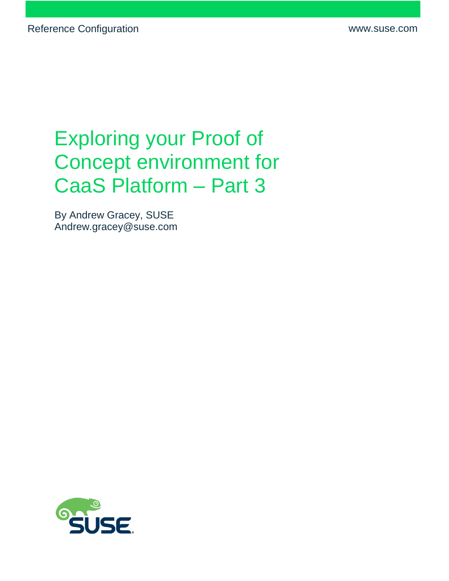# Exploring your Proof of Concept environment for CaaS Platform – Part 3

By Andrew Gracey, SUSE Andrew.gracey@suse.com

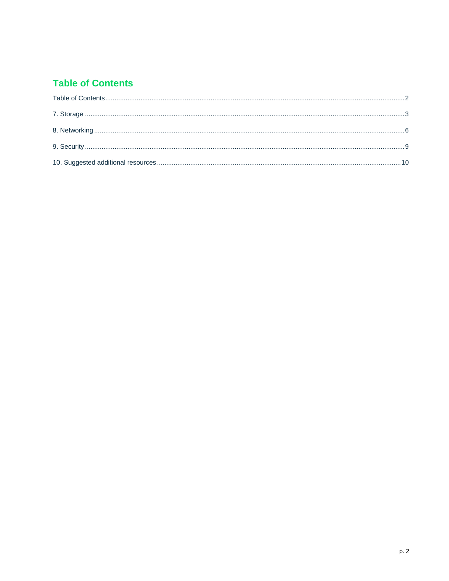## <span id="page-1-0"></span>**Table of Contents**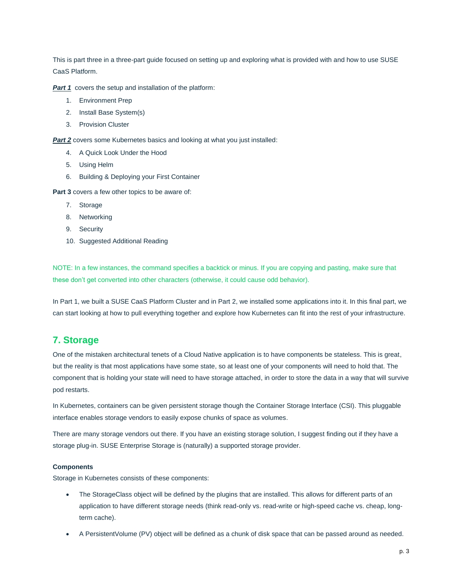This is part three in a three-part guide focused on setting up and exploring what is provided with and how to use SUSE CaaS Platform.

**[Part 1](https://www.suse.com/media/guide/setting_poc_environment_caasp_p1.pdf)** covers the setup and installation of the platform:

- 1. Environment Prep
- 2. Install Base System(s)
- 3. Provision Cluster

**[Part](https://www.suse.com/media/reference-architecture/setting_poc_environment_caasp_p2.pdf) 2** covers some Kubernetes basics and looking at what you just installed:

- 4. A Quick Look Under the Hood
- 5. Using Helm
- 6. Building & Deploying your First Container

**Part 3** covers a few other topics to be aware of:

- 7. Storage
- 8. Networking
- 9. Security
- 10. Suggested Additional Reading

NOTE: In a few instances, the command specifies a backtick or minus. If you are copying and pasting, make sure that these don't get converted into other characters (otherwise, it could cause odd behavior).

In Part 1, we built a SUSE CaaS Platform Cluster and in Part 2, we installed some applications into it. In this final part, we can start looking at how to pull everything together and explore how Kubernetes can fit into the rest of your infrastructure.

## <span id="page-2-0"></span>**7. Storage**

One of the mistaken architectural tenets of a Cloud Native application is to have components be stateless. This is great, but the reality is that most applications have some state, so at least one of your components will need to hold that. The component that is holding your state will need to have storage attached, in order to store the data in a way that will survive pod restarts.

In Kubernetes, containers can be given persistent storage though the Container Storage Interface (CSI). This pluggable interface enables storage vendors to easily expose chunks of space as volumes.

There are many storage vendors out there. If you have an existing storage solution, I suggest finding out if they have a storage plug-in. SUSE Enterprise Storage is (naturally) a supported storage provider.

#### **Components**

Storage in Kubernetes consists of these components:

- The StorageClass object will be defined by the plugins that are installed. This allows for different parts of an application to have different storage needs (think read-only vs. read-write or high-speed cache vs. cheap, longterm cache).
- A PersistentVolume (PV) object will be defined as a chunk of disk space that can be passed around as needed.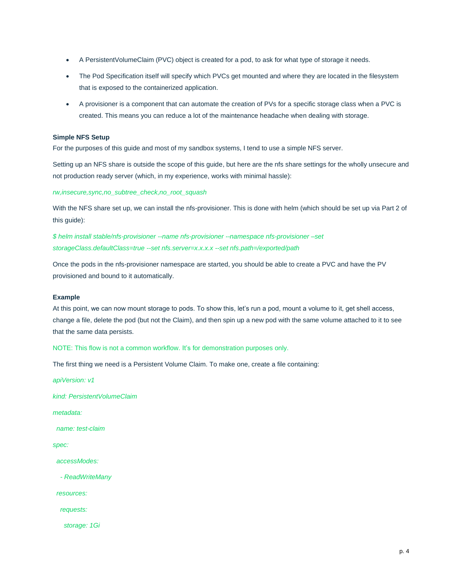- A PersistentVolumeClaim (PVC) object is created for a pod, to ask for what type of storage it needs.
- The Pod Specification itself will specify which PVCs get mounted and where they are located in the filesystem that is exposed to the containerized application.
- A provisioner is a component that can automate the creation of PVs for a specific storage class when a PVC is created. This means you can reduce a lot of the maintenance headache when dealing with storage.

#### **Simple NFS Setup**

For the purposes of this guide and most of my sandbox systems, I tend to use a simple NFS server.

Setting up an NFS share is outside the scope of this guide, but here are the nfs share settings for the wholly unsecure and not production ready server (which, in my experience, works with minimal hassle):

*rw,insecure,sync,no\_subtree\_check,no\_root\_squash*

With the NFS share set up, we can install the nfs-provisioner. This is done with helm (which should be set up via Part 2 of this guide):

*\$ helm install stable/nfs-provisioner --name nfs-provisioner --namespace nfs-provisioner –set storageClass.defaultClass=true --set nfs.server=x.x.x.x --set nfs.path=/exported/path*

Once the pods in the nfs-provisioner namespace are started, you should be able to create a PVC and have the PV provisioned and bound to it automatically.

#### **Example**

At this point, we can now mount storage to pods. To show this, let's run a pod, mount a volume to it, get shell access, change a file, delete the pod (but not the Claim), and then spin up a new pod with the same volume attached to it to see that the same data persists.

NOTE: This flow is not a common workflow. It's for demonstration purposes only.

The first thing we need is a Persistent Volume Claim. To make one, create a file containing:

*apiVersion: v1*

*kind: PersistentVolumeClaim*

*metadata:*

 *name: test-claim*

*spec:*

 *accessModes:*

 *- ReadWriteMany*

 *resources:*

 *requests:*

 *storage: 1Gi*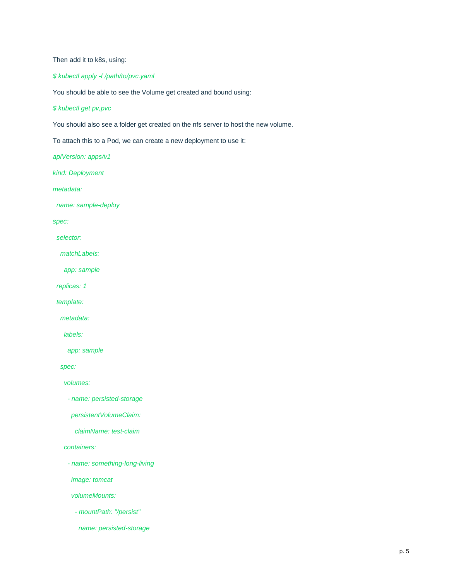Then add it to k8s, using:

*\$ kubectl apply -f /path/to/pvc.yaml*

You should be able to see the Volume get created and bound using:

*\$ kubectl get pv,pvc* 

You should also see a folder get created on the nfs server to host the new volume.

To attach this to a Pod, we can create a new deployment to use it:

*apiVersion: apps/v1*

*kind: Deployment*

*metadata:*

 *name: sample-deploy*

*spec:*

 *selector:*

 *matchLabels:*

 *app: sample*

 *replicas: 1*

 *template:*

 *metadata:*

 *labels:*

 *app: sample*

 *spec:*

 *volumes:*

 *- name: persisted-storage*

 *persistentVolumeClaim:*

 *claimName: test-claim*

 *containers:*

 *- name: something-long-living*

 *image: tomcat*

 *volumeMounts:*

 *- mountPath: "/persist"*

 *name: persisted-storage*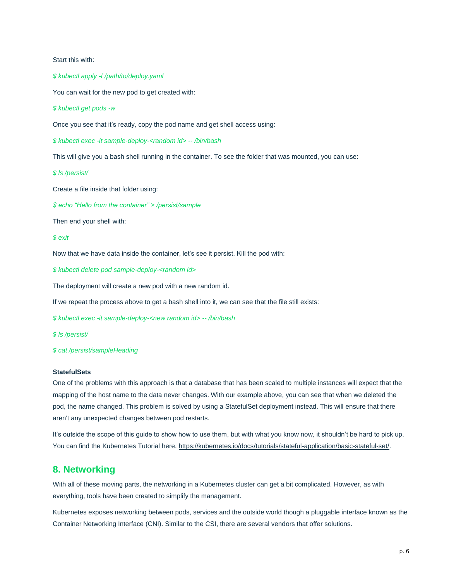Start this with:

*\$ kubectl apply -f /path/to/deploy.yaml* 

You can wait for the new pod to get created with:

*\$ kubectl get pods -w*

Once you see that it's ready, copy the pod name and get shell access using:

*\$ kubectl exec -it sample-deploy-<random id> -- /bin/bash*

This will give you a bash shell running in the container. To see the folder that was mounted, you can use:

*\$ ls /persist/* 

Create a file inside that folder using:

*\$ echo "Hello from the container" > /persist/sample*

Then end your shell with:

#### *\$ exit*

Now that we have data inside the container, let's see it persist. Kill the pod with:

*\$ kubectl delete pod sample-deploy-<random id>*

The deployment will create a new pod with a new random id.

If we repeat the process above to get a bash shell into it, we can see that the file still exists:

*\$ kubectl exec -it sample-deploy-<new random id> -- /bin/bash*

*\$ ls /persist/*

*\$ cat /persist/sampleHeading*

#### **StatefulSets**

One of the problems with this approach is that a database that has been scaled to multiple instances will expect that the mapping of the host name to the data never changes. With our example above, you can see that when we deleted the pod, the name changed. This problem is solved by using a StatefulSet deployment instead. This will ensure that there aren't any unexpected changes between pod restarts.

It's outside the scope of this guide to show how to use them, but with what you know now, it shouldn't be hard to pick up. You can find the Kubernetes Tutorial here, [https://kubernetes.io/docs/tutorials/stateful-application/basic-stateful-set/.](https://kubernetes.io/docs/tutorials/stateful-application/basic-stateful-set/)

## <span id="page-5-0"></span>**8. Networking**

With all of these moving parts, the networking in a Kubernetes cluster can get a bit complicated. However, as with everything, tools have been created to simplify the management.

Kubernetes exposes networking between pods, services and the outside world though a pluggable interface known as the Container Networking Interface (CNI). Similar to the CSI, there are several vendors that offer solutions.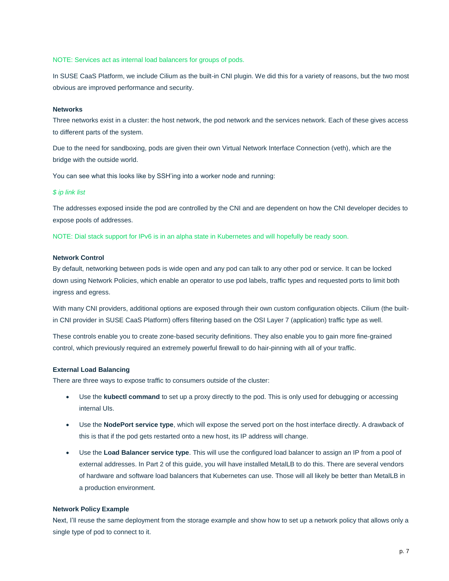NOTE: Services act as internal load balancers for groups of pods.

In SUSE CaaS Platform, we include Cilium as the built-in CNI plugin. We did this for a variety of reasons, but the two most obvious are improved performance and security.

#### **Networks**

Three networks exist in a cluster: the host network, the pod network and the services network. Each of these gives access to different parts of the system.

Due to the need for sandboxing, pods are given their own Virtual Network Interface Connection (veth), which are the bridge with the outside world.

You can see what this looks like by SSH'ing into a worker node and running:

#### *\$ ip link list*

The addresses exposed inside the pod are controlled by the CNI and are dependent on how the CNI developer decides to expose pools of addresses.

NOTE: Dial stack support for IPv6 is in an alpha state in Kubernetes and will hopefully be ready soon.

#### **Network Control**

By default, networking between pods is wide open and any pod can talk to any other pod or service. It can be locked down using Network Policies, which enable an operator to use pod labels, traffic types and requested ports to limit both ingress and egress.

With many CNI providers, additional options are exposed through their own custom configuration objects. Cilium (the builtin CNI provider in SUSE CaaS Platform) offers filtering based on the OSI Layer 7 (application) traffic type as well.

These controls enable you to create zone-based security definitions. They also enable you to gain more fine-grained control, which previously required an extremely powerful firewall to do hair-pinning with all of your traffic.

#### **External Load Balancing**

There are three ways to expose traffic to consumers outside of the cluster:

- Use the **kubectl command** to set up a proxy directly to the pod. This is only used for debugging or accessing internal UIs.
- Use the **NodePort service type**, which will expose the served port on the host interface directly. A drawback of this is that if the pod gets restarted onto a new host, its IP address will change.
- Use the **Load Balancer service type**. This will use the configured load balancer to assign an IP from a pool of external addresses. In Part 2 of this guide, you will have installed MetalLB to do this. There are several vendors of hardware and software load balancers that Kubernetes can use. Those will all likely be better than MetalLB in a production environment.

#### **Network Policy Example**

Next, I'll reuse the same deployment from the storage example and show how to set up a network policy that allows only a single type of pod to connect to it.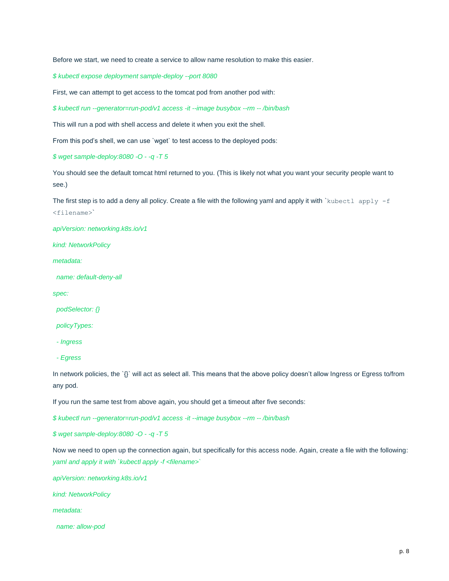Before we start, we need to create a service to allow name resolution to make this easier.

*\$ kubectl expose deployment sample-deploy --port 8080*

First, we can attempt to get access to the tomcat pod from another pod with:

*\$ kubectl run --generator=run-pod/v1 access -it --image busybox --rm -- /bin/bash*

This will run a pod with shell access and delete it when you exit the shell.

From this pod's shell, we can use `wget` to test access to the deployed pods:

*\$ wget sample-deploy:8080 -O - -q -T 5*

You should see the default tomcat html returned to you. (This is likely not what you want your security people want to see.)

The first step is to add a deny all policy. Create a file with the following yaml and apply it with `kubectl apply  $-f$ <filename>`

*apiVersion: networking.k8s.io/v1*

*kind: NetworkPolicy*

*metadata:*

 *name: default-deny-all*

*spec:*

 *podSelector: {}*

 *policyTypes:*

 *- Ingress*

 *- Egress*

In network policies, the `{}` will act as select all. This means that the above policy doesn't allow Ingress or Egress to/from any pod.

If you run the same test from above again, you should get a timeout after five seconds:

*\$ kubectl run --generator=run-pod/v1 access -it --image busybox --rm -- /bin/bash*

*\$ wget sample-deploy:8080 -O - -q -T 5*

Now we need to open up the connection again, but specifically for this access node. Again, create a file with the following: *yaml and apply it with `kubectl apply -f <filename>`*

*apiVersion: networking.k8s.io/v1*

*kind: NetworkPolicy*

*metadata:*

 *name: allow-pod*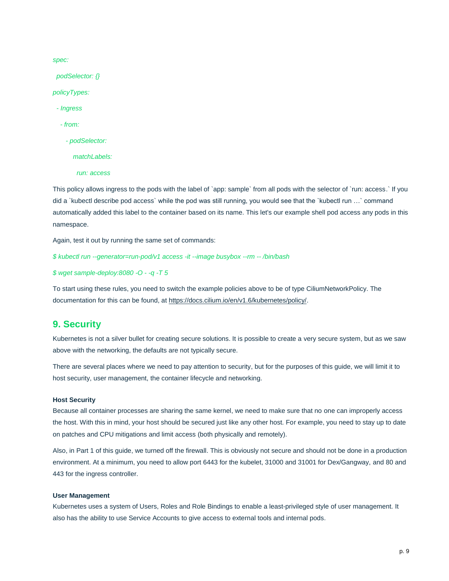*spec:*

 *podSelector: {}*

*policyTypes:*

 *- Ingress* 

 *- from:*

 *- podSelector:*

 *matchLabels:*

 *run: access*

This policy allows ingress to the pods with the label of `app: sample` from all pods with the selector of `run: access.` If you did a `kubectl describe pod access` while the pod was still running, you would see that the `kubectl run …` command automatically added this label to the container based on its name. This let's our example shell pod access any pods in this namespace.

Again, test it out by running the same set of commands:

*\$ kubectl run --generator=run-pod/v1 access -it --image busybox --rm -- /bin/bash*

*\$ wget sample-deploy:8080 -O - -q -T 5*

To start using these rules, you need to switch the example policies above to be of type CiliumNetworkPolicy. The documentation for this can be found, at [https://docs.cilium.io/en/v1.6/kubernetes/policy/.](https://docs.cilium.io/en/v1.6/kubernetes/policy/)

## <span id="page-8-0"></span>**9. Security**

Kubernetes is not a silver bullet for creating secure solutions. It is possible to create a very secure system, but as we saw above with the networking, the defaults are not typically secure.

There are several places where we need to pay attention to security, but for the purposes of this guide, we will limit it to host security, user management, the container lifecycle and networking.

#### **Host Security**

Because all container processes are sharing the same kernel, we need to make sure that no one can improperly access the host. With this in mind, your host should be secured just like any other host. For example, you need to stay up to date on patches and CPU mitigations and limit access (both physically and remotely).

Also, in Part 1 of this guide, we turned off the firewall. This is obviously not secure and should not be done in a production environment. At a minimum, you need to allow port 6443 for the kubelet, 31000 and 31001 for Dex/Gangway, and 80 and 443 for the ingress controller.

#### **User Management**

Kubernetes uses a system of Users, Roles and Role Bindings to enable a least-privileged style of user management. It also has the ability to use Service Accounts to give access to external tools and internal pods.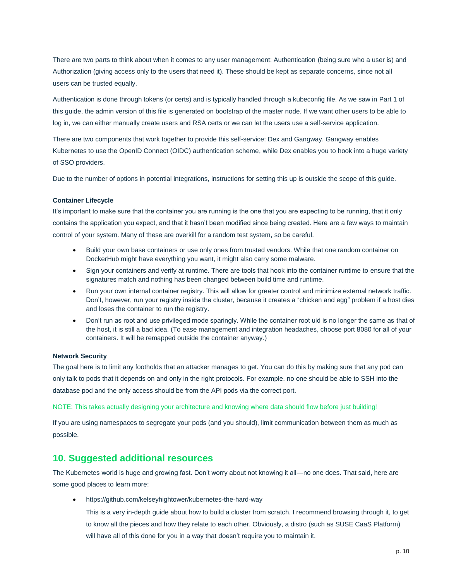There are two parts to think about when it comes to any user management: Authentication (being sure who a user is) and Authorization (giving access only to the users that need it). These should be kept as separate concerns, since not all users can be trusted equally.

Authentication is done through tokens (or certs) and is typically handled through a kubeconfig file. As we saw in Part 1 of this guide, the admin version of this file is generated on bootstrap of the master node. If we want other users to be able to log in, we can either manually create users and RSA certs or we can let the users use a self-service application.

There are two components that work together to provide this self-service: Dex and Gangway. Gangway enables Kubernetes to use the OpenID Connect (OIDC) authentication scheme, while Dex enables you to hook into a huge variety of SSO providers.

Due to the number of options in potential integrations, instructions for setting this up is outside the scope of this guide.

#### **Container Lifecycle**

It's important to make sure that the container you are running is the one that you are expecting to be running, that it only contains the application you expect, and that it hasn't been modified since being created. Here are a few ways to maintain control of your system. Many of these are overkill for a random test system, so be careful.

- Build your own base containers or use only ones from trusted vendors. While that one random container on DockerHub might have everything you want, it might also carry some malware.
- Sign your containers and verify at runtime. There are tools that hook into the container runtime to ensure that the signatures match and nothing has been changed between build time and runtime.
- Run your own internal container registry. This will allow for greater control and minimize external network traffic. Don't, however, run your registry inside the cluster, because it creates a "chicken and egg" problem if a host dies and loses the container to run the registry.
- Don't run as root and use privileged mode sparingly. While the container root uid is no longer the same as that of the host, it is still a bad idea. (To ease management and integration headaches, choose port 8080 for all of your containers. It will be remapped outside the container anyway.)

#### **Network Security**

The goal here is to limit any footholds that an attacker manages to get. You can do this by making sure that any pod can only talk to pods that it depends on and only in the right protocols. For example, no one should be able to SSH into the database pod and the only access should be from the API pods via the correct port.

#### NOTE: This takes actually designing your architecture and knowing where data should flow before just building!

If you are using namespaces to segregate your pods (and you should), limit communication between them as much as possible.

## <span id="page-9-0"></span>**10. Suggested additional resources**

The Kubernetes world is huge and growing fast. Don't worry about not knowing it all—no one does. That said, here are some good places to learn more:

<https://github.com/kelseyhightower/kubernetes-the-hard-way>

This is a very in-depth guide about how to build a cluster from scratch. I recommend browsing through it, to get to know all the pieces and how they relate to each other. Obviously, a distro (such as SUSE CaaS Platform) will have all of this done for you in a way that doesn't require you to maintain it.